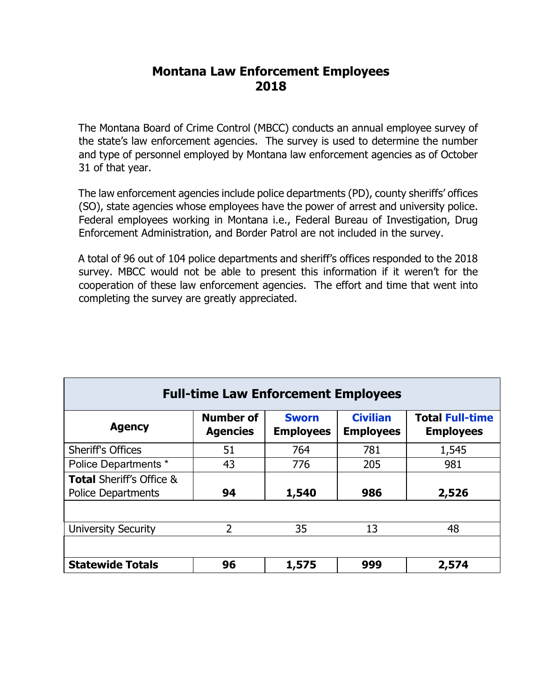# **Montana Law Enforcement Employees 2018**

 The Montana Board of Crime Control (MBCC) conducts an annual employee survey of the state's law enforcement agencies. The survey is used to determine the number and type of personnel employed by Montana law enforcement agencies as of October 31 of that year.

 (SO), state agencies whose employees have the power of arrest and university police. The law enforcement agencies include police departments (PD), county sheriffs' offices Federal employees working in Montana i.e., Federal Bureau of Investigation, Drug Enforcement Administration, and Border Patrol are not included in the survey.

 A total of 96 out of 104 police departments and sheriff's offices responded to the 2018 cooperation of these law enforcement agencies. The effort and time that went into survey. MBCC would not be able to present this information if it weren't for the completing the survey are greatly appreciated.

| <b>Full-time Law Enforcement Employees</b>                       |                                     |                                  |                                     |                                            |  |  |  |  |  |
|------------------------------------------------------------------|-------------------------------------|----------------------------------|-------------------------------------|--------------------------------------------|--|--|--|--|--|
| <b>Agency</b>                                                    | <b>Number of</b><br><b>Agencies</b> | <b>Sworn</b><br><b>Employees</b> | <b>Civilian</b><br><b>Employees</b> | <b>Total Full-time</b><br><b>Employees</b> |  |  |  |  |  |
| <b>Sheriff's Offices</b>                                         | 51                                  | 764                              | 781                                 | 1,545                                      |  |  |  |  |  |
| Police Departments *                                             | 43                                  | 776                              | 205                                 | 981                                        |  |  |  |  |  |
| <b>Total Sheriff's Office &amp;</b><br><b>Police Departments</b> | 94                                  | 1,540                            | 986                                 | 2,526                                      |  |  |  |  |  |
|                                                                  |                                     |                                  |                                     |                                            |  |  |  |  |  |
| <b>University Security</b>                                       | 2                                   | 35                               | 13                                  | 48                                         |  |  |  |  |  |
|                                                                  |                                     |                                  |                                     |                                            |  |  |  |  |  |
| <b>Statewide Totals</b>                                          | 96                                  | 1,575                            | 999                                 | 2,574                                      |  |  |  |  |  |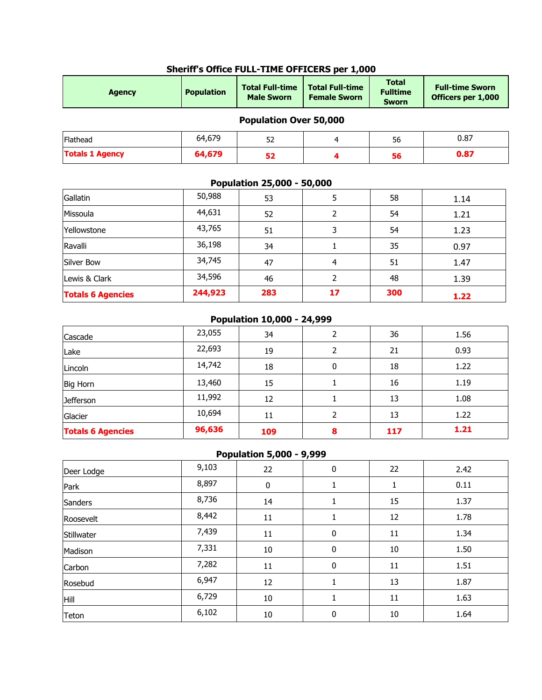| <b>Agency</b>          | <b>Population</b> | <b>Total Full-time</b><br><b>Male Sworn</b> | <b>Total Full-time</b><br><b>Female Sworn</b> | <b>Total</b><br><b>Fulltime</b><br><b>Sworn</b> | <b>Full-time Sworn</b><br>Officers per 1,000 |
|------------------------|-------------------|---------------------------------------------|-----------------------------------------------|-------------------------------------------------|----------------------------------------------|
|                        |                   | <b>Population Over 50,000</b>               |                                               |                                                 |                                              |
| Flathead               | 64,679            | 52                                          | 4                                             | 56                                              | 0.87                                         |
| <b>Totals 1 Agency</b> | 64,679            | 52                                          | 4                                             | 56                                              | 0.87                                         |
|                        |                   | Population 25,000 - 50,000                  |                                               |                                                 |                                              |
| Gallatin               | 50,988            | 53                                          | 5                                             | 58                                              | 1.14                                         |
| Missoula               | 44,631            | 52                                          | 2                                             | 54                                              | 1.21                                         |

#### **Sheriff's Office FULL-TIME OFFICERS per 1,000**

| Silver Bow               | 34,745  | 47                         | 4  | 51  | 1.47 |
|--------------------------|---------|----------------------------|----|-----|------|
| Lewis & Clark            | 34,596  | 46                         |    | 48  | 1.39 |
| <b>Totals 6 Agencies</b> | 244,923 | 283                        | 17 | 300 | 1.22 |
|                          |         | Population 10,000 - 24,999 |    |     |      |
| Cascade                  | 23,055  | 34                         |    | 36  | 1.56 |
| Lake                     | 22,693  | 19                         |    | 21  | 0.93 |
|                          |         |                            |    |     |      |

Yellowstone 43,765 51 3 54 1.23 Ravalli 36,198 34 1 35 0.97

| <b>Totals 6 Agencies</b> | 96,636 | 109 | 8 | 117 | 1.21 |
|--------------------------|--------|-----|---|-----|------|
| Glacier                  | 10,694 | 11  |   | 13  | 1.22 |
| <b>Jefferson</b>         | 11,992 | 12  |   | 13  | 1.08 |
| <b>Big Horn</b>          | 13,460 | 15  |   | 16  | 1.19 |
| Lincoln                  | 14,742 | 18  | 0 | 18  | 1.22 |
| Lake                     | 22,693 | 19  |   | 21  | 0.93 |
| Cascade                  | 23,055 | 34  |   | 36  | 1.56 |
|                          |        |     |   |     |      |

### **Population 5,000 - 9,999**

|            |       |                  | . .     |        |      |
|------------|-------|------------------|---------|--------|------|
| Deer Lodge | 9,103 | 22               | 0       | 22     | 2.42 |
| Park       | 8,897 | $\boldsymbol{0}$ | $\perp$ | 1      | 0.11 |
| Sanders    | 8,736 | 14               | 1       | 15     | 1.37 |
| Roosevelt  | 8,442 | 11               |         | 12     | 1.78 |
| Stillwater | 7,439 | 11               | 0       | 11     | 1.34 |
| Madison    | 7,331 | $10\,$           | 0       | $10\,$ | 1.50 |
| Carbon     | 7,282 | 11               | 0       | 11     | 1.51 |
| Rosebud    | 6,947 | 12               |         | 13     | 1.87 |
| Hill       | 6,729 | $10\,$           |         | 11     | 1.63 |
| Teton      | 6,102 | 10               | 0       | $10\,$ | 1.64 |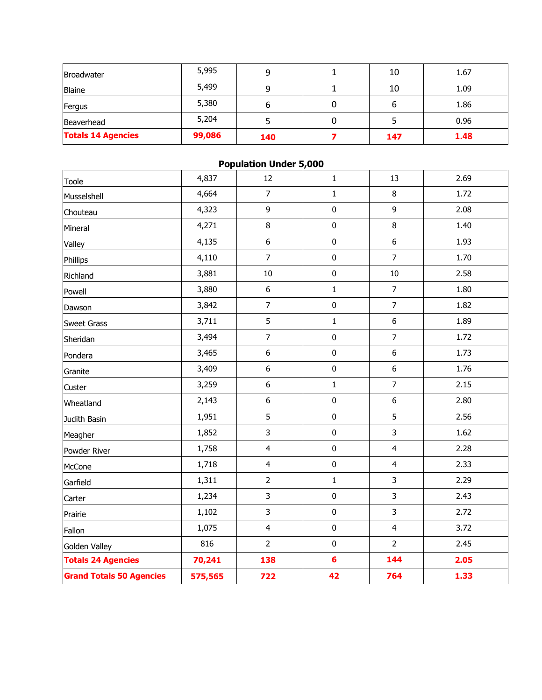| Broadwater                | 5,995  | 9   | 10  | 1.67 |
|---------------------------|--------|-----|-----|------|
| <b>Blaine</b>             | 5,499  | 9   | 10  | 1.09 |
| Fergus                    | 5,380  | b   | ь   | 1.86 |
| Beaverhead                | 5,204  |     |     | 0.96 |
| <b>Totals 14 Agencies</b> | 99,086 | 140 | 147 | 1.48 |

| <b>Population Under 5,000</b>   |         |                         |                |                  |      |  |  |  |
|---------------------------------|---------|-------------------------|----------------|------------------|------|--|--|--|
| Toole                           | 4,837   | 12                      | $\mathbf{1}$   | 13               | 2.69 |  |  |  |
| Musselshell                     | 4,664   | $\overline{7}$          | $\mathbf{1}$   | $\,8\,$          | 1.72 |  |  |  |
| Chouteau                        | 4,323   | 9                       | $\pmb{0}$      | 9                | 2.08 |  |  |  |
| Mineral                         | 4,271   | $\, 8$                  | $\pmb{0}$      | $\,8\,$          | 1.40 |  |  |  |
| Valley                          | 4,135   | $\boldsymbol{6}$        | $\pmb{0}$      | $\boldsymbol{6}$ | 1.93 |  |  |  |
| Phillips                        | 4,110   | $\overline{7}$          | $\pmb{0}$      | $\overline{7}$   | 1.70 |  |  |  |
| Richland                        | 3,881   | 10                      | $\pmb{0}$      | 10               | 2.58 |  |  |  |
| Powell                          | 3,880   | $\boldsymbol{6}$        | $\mathbf 1$    | $\overline{7}$   | 1.80 |  |  |  |
| Dawson                          | 3,842   | $\overline{7}$          | $\pmb{0}$      | $\overline{7}$   | 1.82 |  |  |  |
| <b>Sweet Grass</b>              | 3,711   | 5                       | $\mathbf 1$    | $\boldsymbol{6}$ | 1.89 |  |  |  |
| Sheridan                        | 3,494   | $\overline{7}$          | $\pmb{0}$      | $\overline{7}$   | 1.72 |  |  |  |
| Pondera                         | 3,465   | $\boldsymbol{6}$        | $\pmb{0}$      | $\boldsymbol{6}$ | 1.73 |  |  |  |
| Granite                         | 3,409   | $\boldsymbol{6}$        | $\pmb{0}$      | $\boldsymbol{6}$ | 1.76 |  |  |  |
| Custer                          | 3,259   | $\boldsymbol{6}$        | $\mathbf 1$    | $\overline{7}$   | 2.15 |  |  |  |
| Wheatland                       | 2,143   | $\boldsymbol{6}$        | $\pmb{0}$      | $\boldsymbol{6}$ | 2.80 |  |  |  |
| Judith Basin                    | 1,951   | 5                       | $\pmb{0}$      | 5                | 2.56 |  |  |  |
| Meagher                         | 1,852   | 3                       | $\pmb{0}$      | 3                | 1.62 |  |  |  |
| Powder River                    | 1,758   | $\overline{4}$          | $\pmb{0}$      | $\overline{4}$   | 2.28 |  |  |  |
| McCone                          | 1,718   | $\overline{\mathbf{4}}$ | $\pmb{0}$      | $\overline{4}$   | 2.33 |  |  |  |
| Garfield                        | 1,311   | $\overline{2}$          | $\mathbf{1}$   | 3                | 2.29 |  |  |  |
| Carter                          | 1,234   | 3                       | $\pmb{0}$      | 3                | 2.43 |  |  |  |
| Prairie                         | 1,102   | 3                       | $\pmb{0}$      | 3                | 2.72 |  |  |  |
| Fallon                          | 1,075   | $\overline{4}$          | $\pmb{0}$      | $\overline{4}$   | 3.72 |  |  |  |
| Golden Valley                   | 816     | $\overline{2}$          | $\pmb{0}$      | $\overline{2}$   | 2.45 |  |  |  |
| <b>Totals 24 Agencies</b>       | 70,241  | 138                     | $6\phantom{a}$ | 144              | 2.05 |  |  |  |
| <b>Grand Totals 50 Agencies</b> | 575,565 | 722                     | 42             | 764              | 1.33 |  |  |  |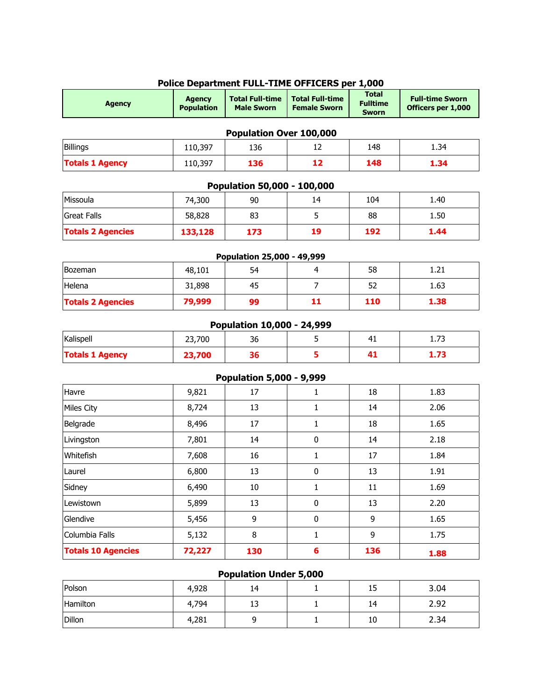| <b>Agency</b>            | <b>Agency</b><br><b>Population</b> | <b>Total Full-time</b><br><b>Male Sworn</b> | <b>Total Full-time</b><br><b>Female Sworn</b> | <b>Total</b><br><b>Fulltime</b><br><b>Sworn</b> | <b>Full-time Sworn</b><br>Officers per 1,000 |
|--------------------------|------------------------------------|---------------------------------------------|-----------------------------------------------|-------------------------------------------------|----------------------------------------------|
|                          |                                    | Population Over 100,000                     |                                               |                                                 |                                              |
| <b>Billings</b>          | 110,397                            | 136                                         | 12                                            | 148                                             | 1.34                                         |
| <b>Totals 1 Agency</b>   | 110,397                            | 136                                         | 12                                            | 148                                             | 1.34                                         |
|                          |                                    | Population 50,000 - 100,000                 |                                               |                                                 |                                              |
| Missoula                 | 74,300                             | 90                                          | 14                                            | 104                                             | 1.40                                         |
| <b>Great Falls</b>       | 58,828                             | 83                                          | 5                                             | 88                                              | 1.50                                         |
| <b>Totals 2 Agencies</b> | 133,128                            | 173                                         | 19                                            | 192                                             | 1.44                                         |
|                          |                                    | Population 25,000 - 49,999                  |                                               |                                                 |                                              |
| Bozeman                  | 48,101                             | 54                                          | $\overline{4}$                                | 58                                              | 1.21                                         |
| Helena                   | 31,898                             | 45                                          | $\overline{7}$                                | 52                                              | 1.63                                         |
| <b>Totals 2 Agencies</b> | 79,999                             | 99                                          | 11                                            | 110                                             | 1.38                                         |
|                          |                                    | Population 10,000 - 24,999                  |                                               |                                                 |                                              |
| Kalispell                | 23,700                             | 36                                          | 5                                             | 41                                              | 1.73                                         |
| <b>Totals 1 Agency</b>   | 23,700                             | 36                                          | 5                                             | 41                                              | 1.73                                         |
|                          |                                    | <b>Population 5,000 - 9,999</b>             |                                               |                                                 |                                              |
| Havre                    | 9,821                              | 17                                          | $\mathbf{1}$                                  | 18                                              | 1.83                                         |
| <b>Miles City</b>        | 8,724                              | 13                                          | $\mathbf{1}$                                  | 14                                              | 2.06                                         |
| Belgrade                 | 8,496                              | 17                                          | $\mathbf{1}$                                  | 18                                              | 1.65                                         |
| Livingston               | 7,801                              | 14                                          | $\mathbf 0$                                   | 14                                              | 2.18                                         |
| Whitefish                | 7,608                              | 16                                          | $\mathbf{1}$                                  | 17                                              | 1.84                                         |
| Laurel                   | 6,800                              | 13                                          | $\mathbf 0$                                   | 13                                              | 1.91                                         |

#### **Police Department FULL-TIME OFFICERS per 1,000**

## **Population Under 5,000**

Sidney 6,490 10 1 11 1.69 Lewistown 5,899 13 0 13 2.20 Glendive 5,456 9 0 9 1.65 Columbia Falls **1** 5,132 8 1 1 9 1.75 **Totals 10 Agencies 72,227 130 6 136 1.88**

| Polson   | 4,928 | 14 | . .<br>ᆚ | 3.04 |
|----------|-------|----|----------|------|
| Hamilton | 4,794 | 13 | 14       | 2.92 |
| Dillon   | 4,281 |    | 10       | 2.34 |